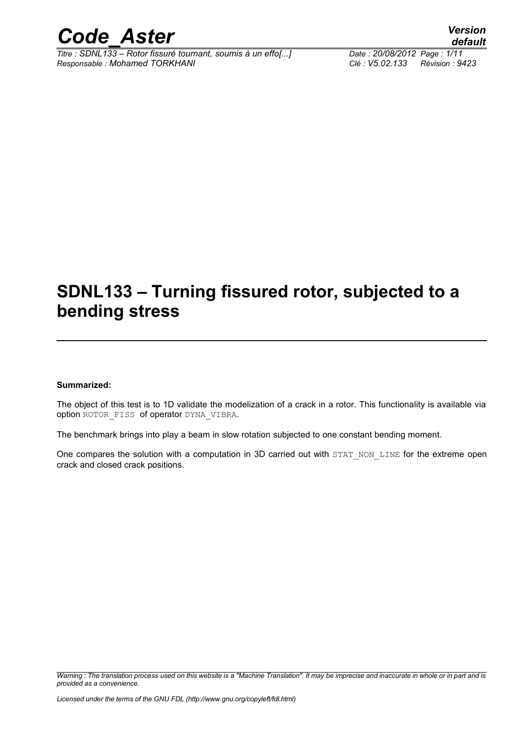

*Titre : SDNL133 – Rotor fissuré tournant, soumis à un effo[...] Date : 20/08/2012 Page : 1/11 Responsable : Mohamed TORKHANI Clé : V5.02.133 Révision : 9423*

*default*

### **SDNL133 – Turning fissured rotor, subjected to a bending stress**

#### **Summarized:**

The object of this test is to 1D validate the modelization of a crack in a rotor. This functionality is available via option ROTOR FISS of operator DYNA VIBRA.

The benchmark brings into play a beam in slow rotation subjected to one constant bending moment.

One compares the solution with a computation in 3D carried out with STAT\_NON\_LINE for the extreme open crack and closed crack positions.

*Warning : The translation process used on this website is a "Machine Translation". It may be imprecise and inaccurate in whole or in part and is provided as a convenience.*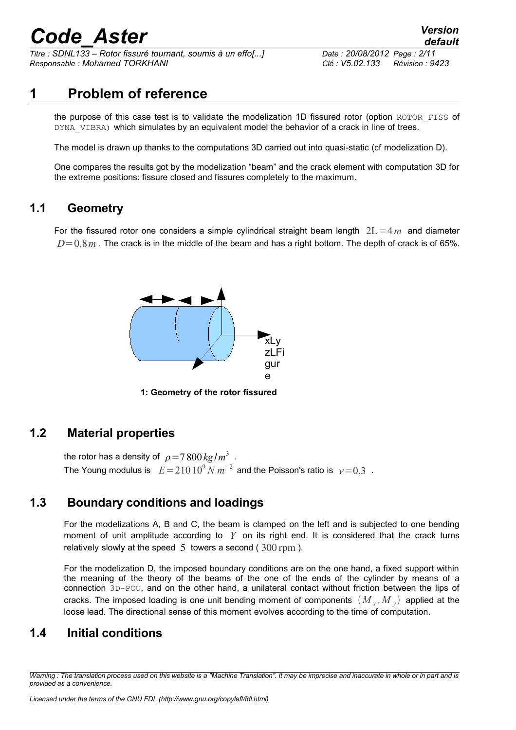*Titre : SDNL133 – Rotor fissuré tournant, soumis à un effo[...] Date : 20/08/2012 Page : 2/11 Responsable : Mohamed TORKHANI Clé : V5.02.133 Révision : 9423*

### **1 Problem of reference**

the purpose of this case test is to validate the modelization 1D fissured rotor (option ROTOR\_FISS of DYNA VIBRA) which simulates by an equivalent model the behavior of a crack in line of trees.

The model is drawn up thanks to the computations 3D carried out into quasi-static (cf modelization D).

One compares the results got by the modelization "beam" and the crack element with computation 3D for the extreme positions: fissure closed and fissures completely to the maximum.

#### **1.1 Geometry**

For the fissured rotor one considers a simple cylindrical straight beam length  $2L=4m$  and diameter  $D=0.8$  *m*. The crack is in the middle of the beam and has a right bottom. The depth of crack is of 65%.



**1: Geometry of the rotor fissured**

#### **1.2 Material properties**

the rotor has a density of  $\rho\!=\!7\,800\,\mathrm{kg}/m^3$  . The Young modulus is  $E\!=\!210\,10^9$   $N$   $m^{-2}$  and the Poisson's ratio is  $\sqrt{v}\!=\!0, \!3$  .

#### **1.3 Boundary conditions and loadings**

For the modelizations A, B and C, the beam is clamped on the left and is subjected to one bending moment of unit amplitude according to *Y* on its right end. It is considered that the crack turns relatively slowly at the speed  $5$  towers a second ( $300$  rpm).

For the modelization D, the imposed boundary conditions are on the one hand, a fixed support within the meaning of the theory of the beams of the one of the ends of the cylinder by means of a connection 3D-POU, and on the other hand, a unilateral contact without friction between the lips of cracks. The imposed loading is one unit bending moment of components  $(M_{x},M_{y})$  applied at the loose lead. The directional sense of this moment evolves according to the time of computation.

#### **1.4 Initial conditions**

*Warning : The translation process used on this website is a "Machine Translation". It may be imprecise and inaccurate in whole or in part and is provided as a convenience.*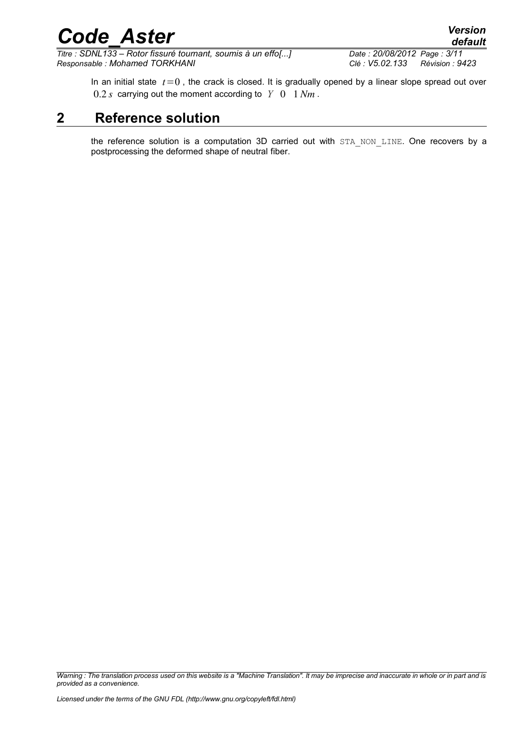In an initial state  $t=0$ , the crack is closed. It is gradually opened by a linear slope spread out over  $0.2 s$  carrying out the moment according to  $Y = 0$  1  $Nm$ .

### **2 Reference solution**

the reference solution is a computation 3D carried out with STA NON LINE. One recovers by a postprocessing the deformed shape of neutral fiber.

*Warning : The translation process used on this website is a "Machine Translation". It may be imprecise and inaccurate in whole or in part and is provided as a convenience.*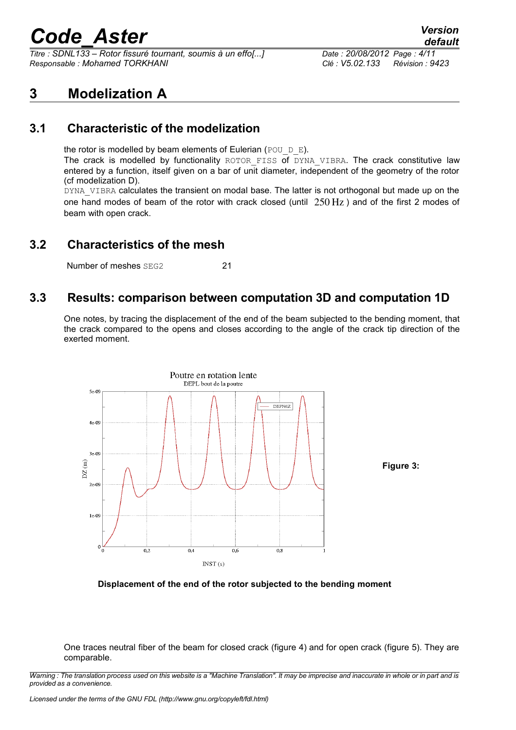*Titre : SDNL133 – Rotor fissuré tournant, soumis à un effo[...] Date : 20/08/2012 Page : 4/11 Responsable : Mohamed TORKHANI Clé : V5.02.133 Révision : 9423*

#### **3 Modelization A**

#### **3.1 Characteristic of the modelization**

the rotor is modelled by beam elements of Eulerian (POU  $D$  E).

The crack is modelled by functionality ROTOR FISS of DYNA VIBRA. The crack constitutive law entered by a function, itself given on a bar of unit diameter, independent of the geometry of the rotor (cf modelization D).

DYNA\_VIBRA calculates the transient on modal base. The latter is not orthogonal but made up on the one hand modes of beam of the rotor with crack closed (until  $250 \,\mathrm{Hz}$ ) and of the first 2 modes of beam with open crack.

#### **3.2 Characteristics of the mesh**

Number of meshes SEG2 21

#### **3.3 Results: comparison between computation 3D and computation 1D**

One notes, by tracing the displacement of the end of the beam subjected to the bending moment, that the crack compared to the opens and closes according to the angle of the crack tip direction of the exerted moment.





One traces neutral fiber of the beam for closed crack (figure 4) and for open crack (figure 5). They are comparable.

*Warning : The translation process used on this website is a "Machine Translation". It may be imprecise and inaccurate in whole or in part and is provided as a convenience.*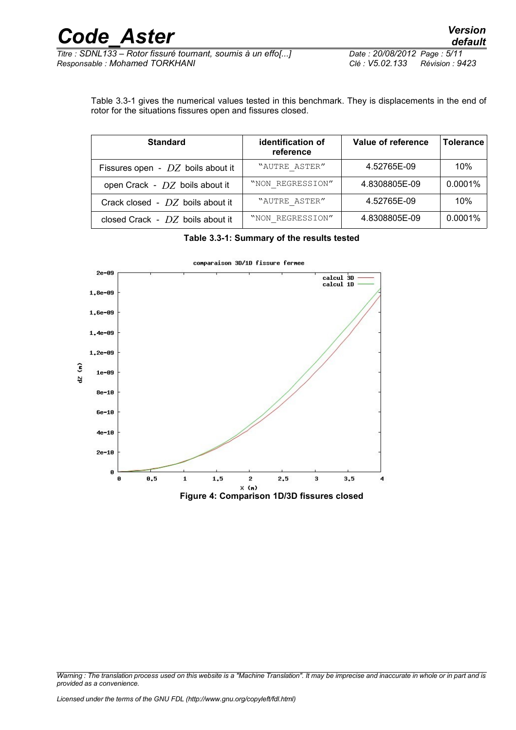*Titre : SDNL133 – Rotor fissuré tournant, soumis à un effo[...] Date : 20/08/2012 Page : 5/11 Responsable : Mohamed TORKHANI Clé : V5.02.133 Révision : 9423*

Table [3.3-1](#page-4-0) gives the numerical values tested in this benchmark. They is displacements in the end of rotor for the situations fissures open and fissures closed.

| <b>Standard</b>                     | identification of<br>reference | Value of reference | <b>Tolerance</b> |
|-------------------------------------|--------------------------------|--------------------|------------------|
| Fissures open - $DZ$ boils about it | "AUTRE ASTER"                  | 4.52765E-09        | 10%              |
| open Crack - DZ boils about it      | "NON REGRESSION"               | 4.8308805E-09      | 0.0001%          |
| Crack closed - $DZ$ boils about it  | "AUTRE ASTER"                  | 4.52765E-09        | 10%              |
| closed Crack - $DZ$ boils about it  | "NON REGRESSION"               | 4.8308805E-09      | 0.0001%          |

<span id="page-4-0"></span>**Table 3.3-1: Summary of the results tested**



comparaison 3D/1D fissure fermee

*Warning : The translation process used on this website is a "Machine Translation". It may be imprecise and inaccurate in whole or in part and is provided as a convenience.*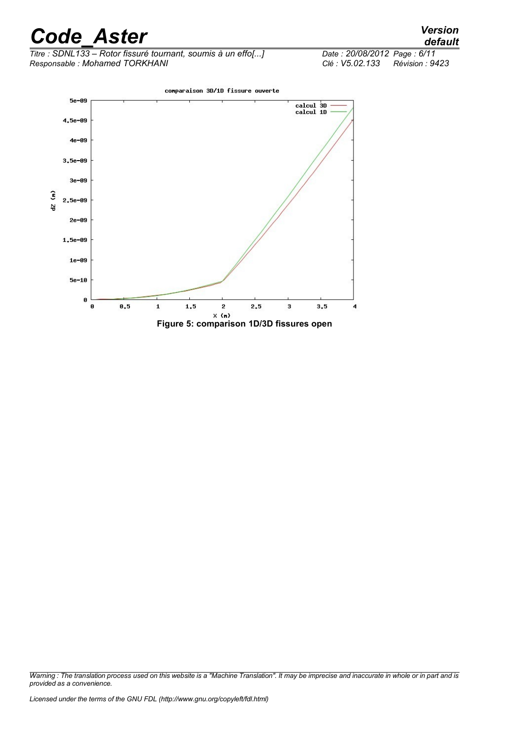*Titre : SDNL133 – Rotor fissuré tournant, soumis à un effo[...] Date : 20/08/2012*<br>Responsable : Mohamed TORKHANI *Page : 105.02.133 Responsable : Mohamed TORKHANI Clé : V5.02.133 Révision : 9423*





*Warning : The translation process used on this website is a "Machine Translation". It may be imprecise and inaccurate in whole or in part and is provided as a convenience.*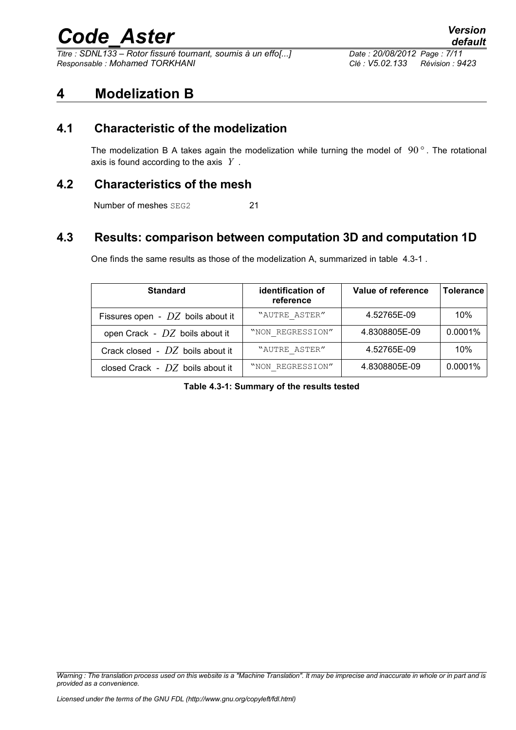*Titre : SDNL133 – Rotor fissuré tournant, soumis à un effo[...] Date : 20/08/2012 Page : 7/11 Responsable : Mohamed TORKHANI Clé : V5.02.133 Révision : 9423*

#### **4 Modelization B**

#### **4.1 Characteristic of the modelization**

The modelization B A takes again the modelization while turning the model of 90 *°* . The rotational axis is found according to the axis *Y* .

#### **4.2 Characteristics of the mesh**

Number of meshes SEG2 21

#### **4.3 Results: comparison between computation 3D and computation 1D**

One finds the same results as those of the modelization A, summarized in table [4.3-1](#page-6-0) .

| <b>Standard</b>                     | identification of<br>reference | Value of reference | <b>Tolerance</b> |
|-------------------------------------|--------------------------------|--------------------|------------------|
| Fissures open - $DZ$ boils about it | "AUTRE ASTER"                  | 4.52765E-09        | 10%              |
| open Crack - $DZ$ boils about it    | "NON REGRESSION"               | 4.8308805E-09      | 0.0001%          |
| Crack closed - $DZ$ boils about it  | "AUTRE ASTER"                  | 4.52765E-09        | 10%              |
| closed Crack - $DZ$ boils about it  | "NON REGRESSION"               | 4.8308805E-09      | 0.0001%          |

<span id="page-6-0"></span>**Table 4.3-1: Summary of the results tested**

*Warning : The translation process used on this website is a "Machine Translation". It may be imprecise and inaccurate in whole or in part and is provided as a convenience.*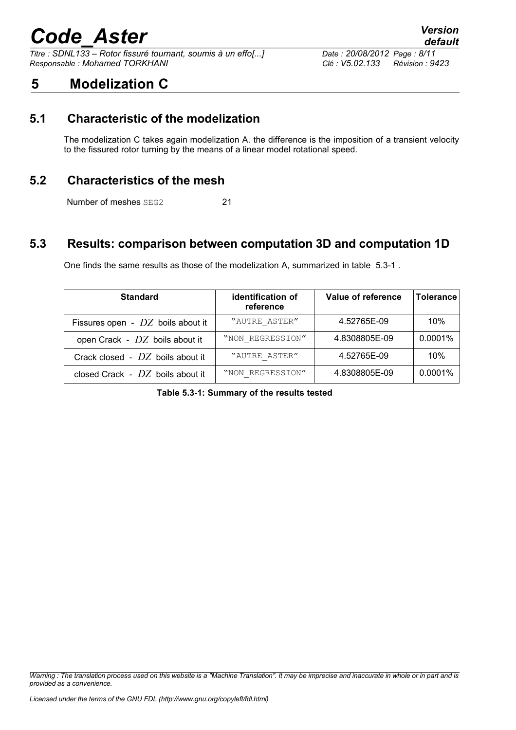*Titre : SDNL133 – Rotor fissuré tournant, soumis à un effo[...] Date : 20/08/2012 Page : 8/11 Responsable : Mohamed TORKHANI Clé : V5.02.133 Révision : 9423*

### **5 Modelization C**

#### **5.1 Characteristic of the modelization**

The modelization C takes again modelization A. the difference is the imposition of a transient velocity to the fissured rotor turning by the means of a linear model rotational speed.

#### **5.2 Characteristics of the mesh**

Number of meshes SEG2 21

#### **5.3 Results: comparison between computation 3D and computation 1D**

One finds the same results as those of the modelization A, summarized in table [5.3-1](#page-7-0) .

| <b>Standard</b>                     | identification of<br>reference | Value of reference | <b>Tolerance</b> |
|-------------------------------------|--------------------------------|--------------------|------------------|
| Fissures open - $DZ$ boils about it | "AUTRE ASTER"                  | 4.52765E-09        | 10%              |
| open Crack - $DZ$ boils about it    | "NON REGRESSION"               | 4.8308805E-09      | 0.0001%          |
| Crack closed - $DZ$ boils about it  | "AUTRE ASTER"                  | 4.52765E-09        | 10%              |
| closed Crack - $DZ$ boils about it  | "NON REGRESSION"               | 4.8308805E-09      | 0.0001%          |

<span id="page-7-0"></span>**Table 5.3-1: Summary of the results tested**

*Warning : The translation process used on this website is a "Machine Translation". It may be imprecise and inaccurate in whole or in part and is provided as a convenience.*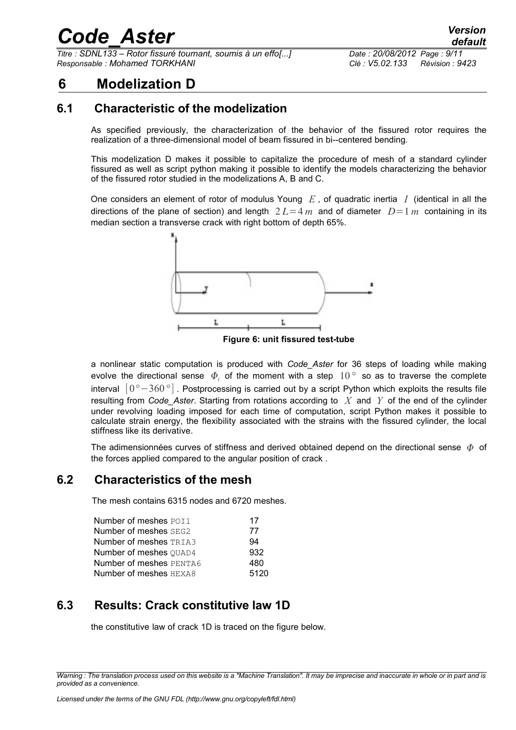*Titre : SDNL133 – Rotor fissuré tournant, soumis à un effo[...] Date : 20/08/2012 Page : 9/11 Responsable : Mohamed TORKHANI Clé : V5.02.133 Révision : 9423*

### **6 Modelization D**

#### **6.1 Characteristic of the modelization**

As specified previously, the characterization of the behavior of the fissured rotor requires the realization of a three-dimensional model of beam fissured in bi--centered bending.

This modelization D makes it possible to capitalize the procedure of mesh of a standard cylinder fissured as well as script python making it possible to identify the models characterizing the behavior of the fissured rotor studied in the modelizations A, B and C.

One considers an element of rotor of modulus Young *E* , of quadratic inertia *I* (identical in all the directions of the plane of section) and length  $2L=4 m$  and of diameter  $D=1 m$  containing in its median section a transverse crack with right bottom of depth 65%.



**Figure 6: unit fissured test-tube**

a nonlinear static computation is produced with *Code\_Aster* for 36 steps of loading while making evolve the directional sense  $\Phi_i$  of the moment with a step  $10^{\circ}$  so as to traverse the complete interval [0*°*−360*°*] . Postprocessing is carried out by a script Python which exploits the results file resulting from *Code\_Aster*. Starting from rotations according to *X* and *Y* of the end of the cylinder under revolving loading imposed for each time of computation, script Python makes it possible to calculate strain energy, the flexibility associated with the strains with the fissured cylinder, the local stiffness like its derivative.

The adimensionnées curves of stiffness and derived obtained depend on the directional sense  $\phi$  of the forces applied compared to the angular position of crack .

#### **6.2 Characteristics of the mesh**

The mesh contains 6315 nodes and 6720 meshes.

| Number of meshes POI1         | 17   |
|-------------------------------|------|
| Number of meshes SEG2         | 77   |
| <b>Number of meshes TRIA3</b> | 94   |
| Number of meshes OUAD4        | 932  |
| Number of meshes PENTA6       | 480  |
| Number of meshes HEXA8        | 5120 |

#### **6.3 Results: Crack constitutive law 1D**

the constitutive law of crack 1D is traced on the figure below.

*Warning : The translation process used on this website is a "Machine Translation". It may be imprecise and inaccurate in whole or in part and is provided as a convenience.*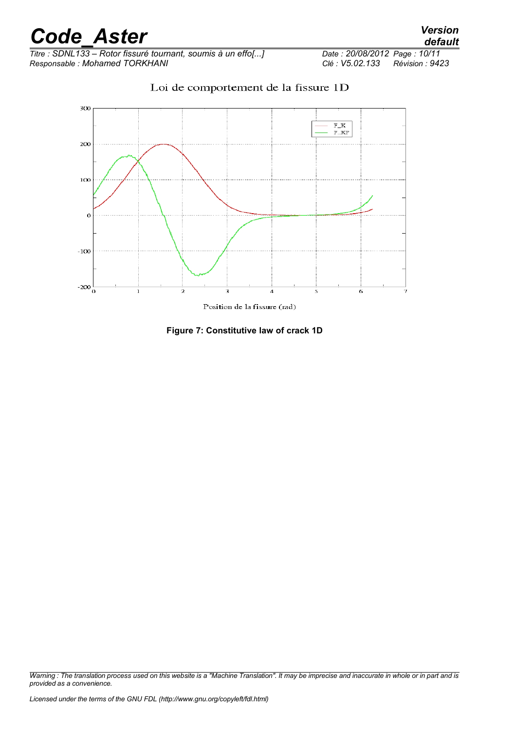*Titre : SDNL133 – Rotor fissuré tournant, soumis à un effo[...] Date : 20/08/2012*<br>*Responsable : Mohamed TORKHANI Clé : V5.02.133 Responsable : Mohamed TORKHANI Clé : V5.02.133 Révision : 9423*



Loi de comportement de la fissure 1D

Position de la fissure (rad)

**Figure 7: Constitutive law of crack 1D**

*Warning : The translation process used on this website is a "Machine Translation". It may be imprecise and inaccurate in whole or in part and is provided as a convenience.*